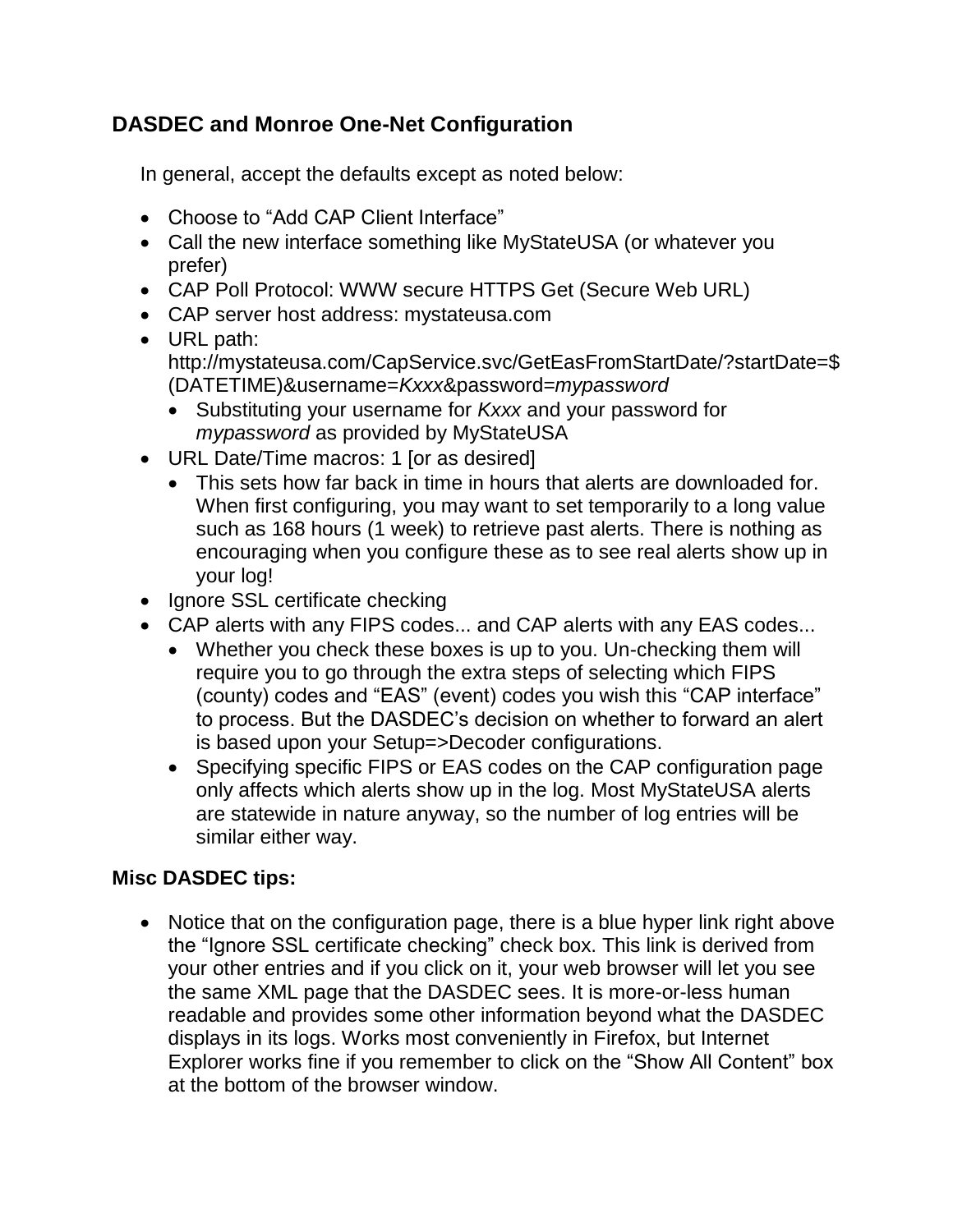## **DASDEC and Monroe One-Net Configuration**

In general, accept the defaults except as noted below:

- Choose to "Add CAP Client Interface"
- Call the new interface something like MyStateUSA (or whatever you prefer)
- CAP Poll Protocol: WWW secure HTTPS Get (Secure Web URL)
- CAP server host address: mystateusa.com
- URL path: http://mystateusa.com/CapService.svc/GetEasFromStartDate/?startDate=\$ (DATETIME)&username=*Kxxx*&password=*mypassword*
	- Substituting your username for *Kxxx* and your password for *mypassword* as provided by MyStateUSA
- URL Date/Time macros: 1 [or as desired]
	- This sets how far back in time in hours that alerts are downloaded for. When first configuring, you may want to set temporarily to a long value such as 168 hours (1 week) to retrieve past alerts. There is nothing as encouraging when you configure these as to see real alerts show up in your log!
- Ignore SSL certificate checking
- CAP alerts with any FIPS codes... and CAP alerts with any EAS codes...
	- Whether you check these boxes is up to you. Un-checking them will require you to go through the extra steps of selecting which FIPS (county) codes and "EAS" (event) codes you wish this "CAP interface" to process. But the DASDEC's decision on whether to forward an alert is based upon your Setup=>Decoder configurations.
	- Specifying specific FIPS or EAS codes on the CAP configuration page only affects which alerts show up in the log. Most MyStateUSA alerts are statewide in nature anyway, so the number of log entries will be similar either way.

## **Misc DASDEC tips:**

• Notice that on the configuration page, there is a blue hyper link right above the "Ignore SSL certificate checking" check box. This link is derived from your other entries and if you click on it, your web browser will let you see the same XML page that the DASDEC sees. It is more-or-less human readable and provides some other information beyond what the DASDEC displays in its logs. Works most conveniently in Firefox, but Internet Explorer works fine if you remember to click on the "Show All Content" box at the bottom of the browser window.